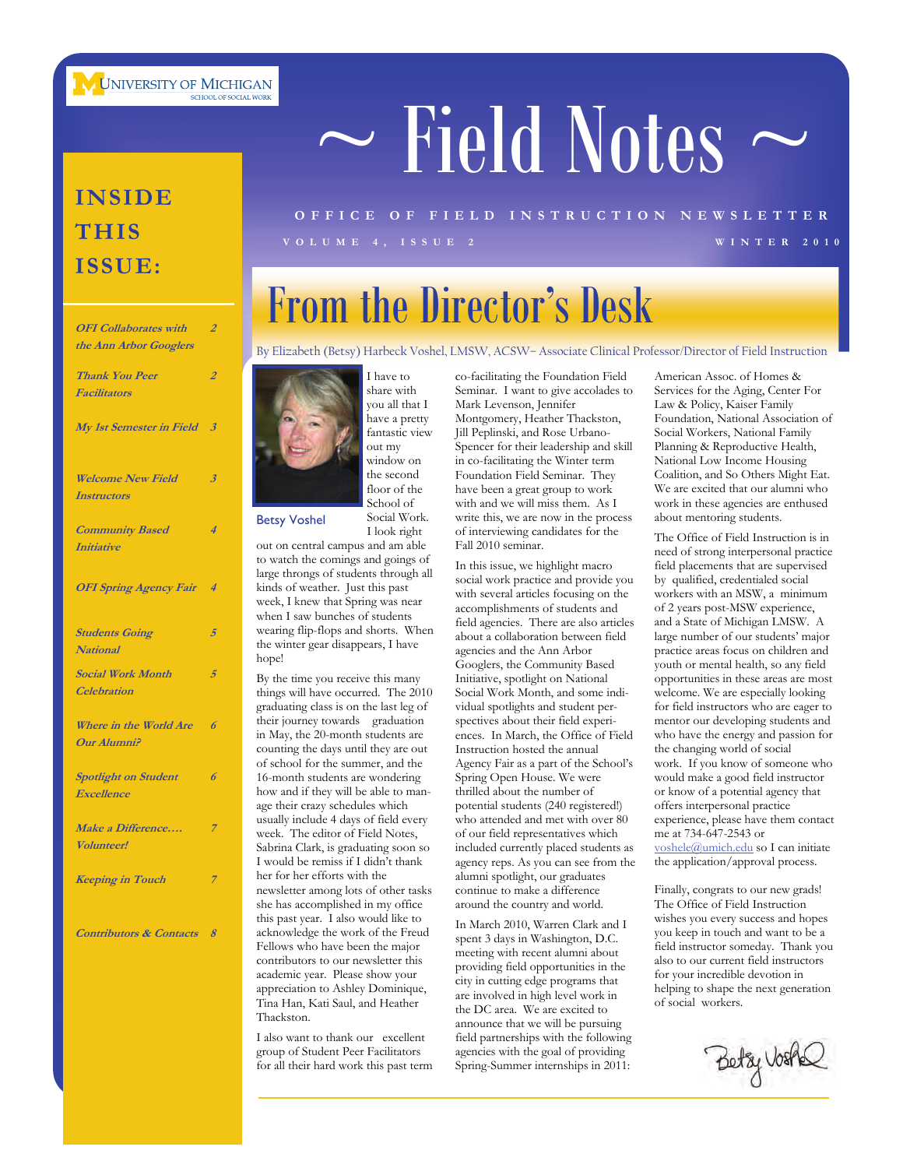

### **INSIDE THIS ISSUE:**

| <b>OFI Collaborates with</b>                   | 2                        |
|------------------------------------------------|--------------------------|
| the Ann Arbor Googlers                         |                          |
| <b>Thank You Peer</b><br><b>Facilitators</b>   | 2                        |
|                                                |                          |
| My 1st Semester in Field                       | $\overline{\mathcal{Z}}$ |
| <b>Welcome New Field</b>                       | 3                        |
| <b>Instructors</b>                             |                          |
| <b>Community Based</b>                         | 4                        |
| Initiative                                     |                          |
| <b>OFI Spring Agency Fair</b>                  | 4                        |
| <b>Students Going</b>                          | 5                        |
| <b>National</b>                                |                          |
| <b>Social Work Month</b><br><b>Celebration</b> | 5                        |
|                                                |                          |
| Where in the World Are<br>Our Alumni?          | 6                        |
| <b>Spotlight on Student</b>                    | 6                        |
| <b>Excellence</b>                              |                          |
| Make a Difference                              | 7                        |
| <b>Volunteer!</b>                              |                          |
| <b>Keeping in Touch</b>                        | 7                        |
|                                                |                          |
| <b>Contributors &amp; Contacts</b>             | 8                        |

# $\sim$  Field Notes  $\sim$

### **VOLUME 4, ISSUE 2 WINTER 2010 OFFICE OF FIELD INSTRUCTION NEWSLETTER**

# From the Director's Desk

By Elizabeth (Betsy) Harbeck Voshel, LMSW, ACSW– Associate Clinical Professor/Director of Field Instruction



I have to share with you all that I have a pretty fantastic view out my window on the second floor of the School of Social Work. I look right

Betsy Voshel

out on central campus and am able to watch the comings and goings of large throngs of students through all kinds of weather. Just this past week, I knew that Spring was near when I saw bunches of students wearing flip-flops and shorts. When the winter gear disappears, I have hope!

By the time you receive this many things will have occurred. The 2010 graduating class is on the last leg of their journey towards graduation in May, the 20-month students are counting the days until they are out of school for the summer, and the 16-month students are wondering how and if they will be able to manage their crazy schedules which usually include 4 days of field every week. The editor of Field Notes, Sabrina Clark, is graduating soon so I would be remiss if I didn't thank her for her efforts with the newsletter among lots of other tasks she has accomplished in my office this past year. I also would like to acknowledge the work of the Freud Fellows who have been the major contributors to our newsletter this academic year. Please show your appreciation to Ashley Dominique, Tina Han, Kati Saul, and Heather Thackston.

I also want to thank our excellent group of Student Peer Facilitators for all their hard work this past term

co-facilitating the Foundation Field Seminar. I want to give accolades to Mark Levenson, Jennifer Montgomery, Heather Thackston, Jill Peplinski, and Rose Urbano-Spencer for their leadership and skill in co-facilitating the Winter term Foundation Field Seminar. They have been a great group to work with and we will miss them. As I write this, we are now in the process of interviewing candidates for the Fall 2010 seminar.

In this issue, we highlight macro social work practice and provide you with several articles focusing on the accomplishments of students and field agencies. There are also articles about a collaboration between field agencies and the Ann Arbor Googlers, the Community Based Initiative, spotlight on National Social Work Month, and some individual spotlights and student perspectives about their field experiences. In March, the Office of Field Instruction hosted the annual Agency Fair as a part of the School's Spring Open House. We were thrilled about the number of potential students (240 registered!) who attended and met with over 80 of our field representatives which included currently placed students as agency reps. As you can see from the alumni spotlight, our graduates continue to make a difference around the country and world.

In March 2010, Warren Clark and I spent 3 days in Washington, D.C. meeting with recent alumni about providing field opportunities in the city in cutting edge programs that are involved in high level work in the DC area. We are excited to announce that we will be pursuing field partnerships with the following agencies with the goal of providing Spring-Summer internships in 2011:

American Assoc. of Homes & Services for the Aging, Center For Law & Policy, Kaiser Family Foundation, National Association of Social Workers, National Family Planning & Reproductive Health, National Low Income Housing Coalition, and So Others Might Eat. We are excited that our alumni who work in these agencies are enthused about mentoring students.

The Office of Field Instruction is in need of strong interpersonal practice field placements that are supervised by qualified, credentialed social workers with an MSW, a minimum of 2 years post-MSW experience, and a State of Michigan LMSW. A large number of our students' major practice areas focus on children and youth or mental health, so any field opportunities in these areas are most welcome. We are especially looking for field instructors who are eager to mentor our developing students and who have the energy and passion for the changing world of social work. If you know of someone who would make a good field instructor or know of a potential agency that offers interpersonal practice experience, please have them contact me at 734-647-2543 or [voshele@umich.edu](mailto:voshele@umich.edu) so I can initiate the application/approval process.

Finally, congrats to our new grads! The Office of Field Instruction wishes you every success and hopes you keep in touch and want to be a field instructor someday. Thank you also to our current field instructors for your incredible devotion in helping to shape the next generation of social workers.

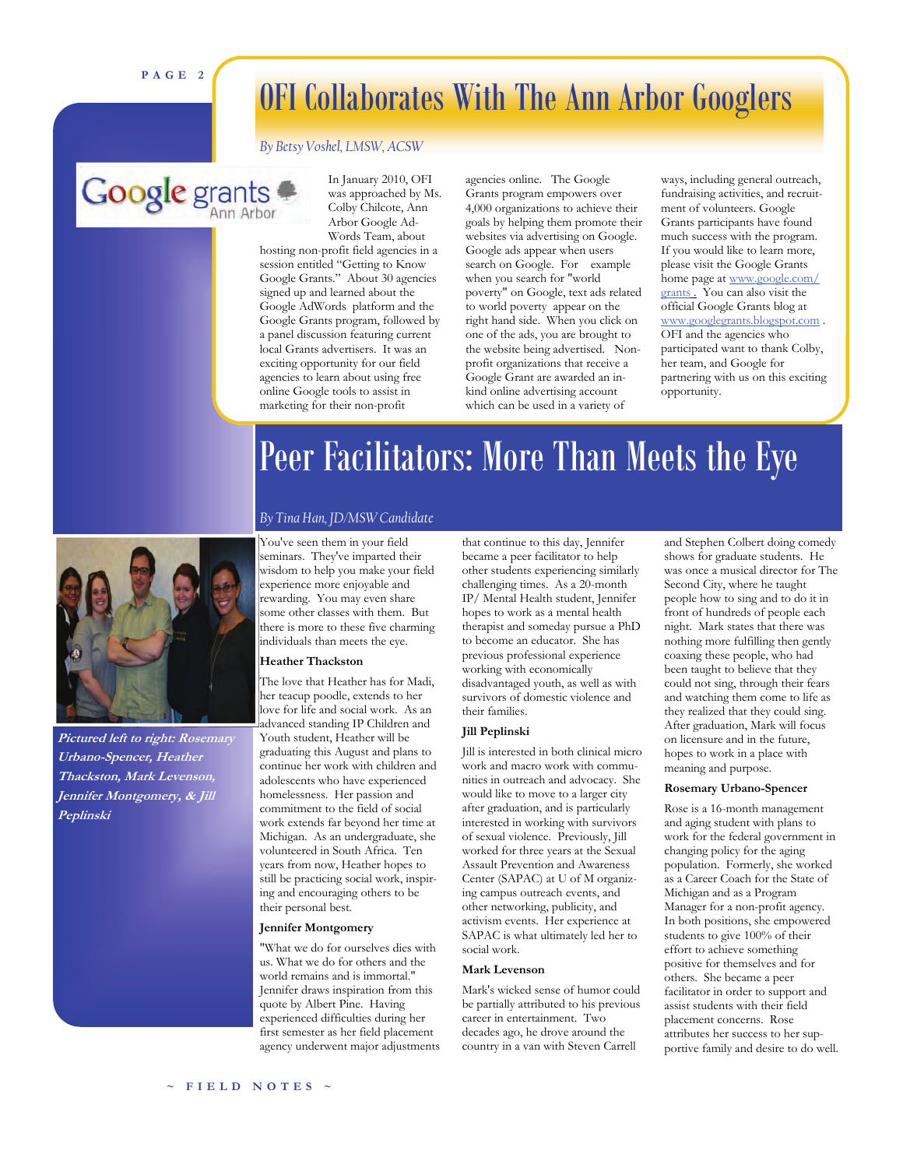### OFI Collaborates With The Ann Arbor Googlers

### *By Betsy Voshel, LMSW, ACSW*

Google grants In January 2010, OFI was approached by Ms. Colby Chilcote, Ann Arbor Google Ad-

Words Team, about hosting non-profit field agencies in a session entitled "Getting to Know Google Grants." About 30 agencies signed up and learned about the Google AdWords platform and the Google Grants program, followed by a panel discussion featuring current local Grants advertisers. It was an exciting opportunity for our field agencies to learn about using free online Google tools to assist in marketing for their non-profit

agencies online. The Google Grants program empowers over 4,000 organizations to achieve their goals by helping them promote their websites via advertising on Google. Google ads appear when users search on Google. For example when you search for "world poverty" on Google, text ads related to world poverty appear on the right hand side. When you click on one of the ads, you are brought to the website being advertised. Nonprofit organizations that receive a Google Grant are awarded an inkind online advertising account which can be used in a variety of

ways, including general outreach, fundraising activities, and recruitment of volunteers. Google Grants participants have found much success with the program. If you would like to learn more, please visit the Google Grants home page at [www.google.com/](http://www.google.com/grants) [grants](http://www.google.com/grants) . You can also visit the official Google Grants blog at [www.googlegrants.blogspot.com](http://www.googlegrants.blogspot.com) . OFI and the agencies who participated want to thank Colby, her team, and Google for partnering with us on this exciting opportunity.

### Peer Facilitators: More Than Meets the Eye

### *By Tina Han, JD/MSW Candidate*

**Pictured left to right: Rosemary Urbano-Spencer, Heather Thackston, Mark Levenson, Jennifer Montgomery, & Jill Peplinski** 

You've seen them in your field seminars. They've imparted their wisdom to help you make your field experience more enjoyable and rewarding. You may even share some other classes with them. But there is more to these five charming individuals than meets the eye.

### **Heather Thackston**

The love that Heather has for Madi, her teacup poodle, extends to her love for life and social work. As an advanced standing IP Children and Youth student, Heather will be graduating this August and plans to continue her work with children and adolescents who have experienced homelessness. Her passion and commitment to the field of social work extends far beyond her time at Michigan. As an undergraduate, she volunteered in South Africa. Ten years from now, Heather hopes to still be practicing social work, inspiring and encouraging others to be their personal best.

#### **Jennifer Montgomery**

"What we do for ourselves dies with us. What we do for others and the world remains and is immortal." Jennifer draws inspiration from this quote by Albert Pine. Having experienced difficulties during her first semester as her field placement agency underwent major adjustments that continue to this day, Jennifer became a peer facilitator to help other students experiencing similarly challenging times. As a 20-month IP/ Mental Health student, Jennifer hopes to work as a mental health therapist and someday pursue a PhD to become an educator. She has previous professional experience working with economically disadvantaged youth, as well as with survivors of domestic violence and their families.

#### **Jill Peplinski**

Jill is interested in both clinical micro work and macro work with communities in outreach and advocacy. She would like to move to a larger city after graduation, and is particularly interested in working with survivors of sexual violence. Previously, Jill worked for three years at the Sexual Assault Prevention and Awareness Center (SAPAC) at U of M organizing campus outreach events, and other networking, publicity, and activism events. Her experience at SAPAC is what ultimately led her to social work.

#### **Mark Levenson**

Mark's wicked sense of humor could be partially attributed to his previous career in entertainment. Two decades ago, he drove around the country in a van with Steven Carrell

and Stephen Colbert doing comedy shows for graduate students. He was once a musical director for The Second City, where he taught people how to sing and to do it in front of hundreds of people each night. Mark states that there was nothing more fulfilling then gently coaxing these people, who had been taught to believe that they could not sing, through their fears and watching them come to life as they realized that they could sing. After graduation, Mark will focus on licensure and in the future, hopes to work in a place with meaning and purpose.

### **Rosemary Urbano-Spencer**

Rose is a 16-month management and aging student with plans to work for the federal government in changing policy for the aging population. Formerly, she worked as a Career Coach for the State of Michigan and as a Program Manager for a non-profit agency. In both positions, she empowered students to give 100% of their effort to achieve something positive for themselves and for others. She became a peer facilitator in order to support and assist students with their field placement concerns. Rose attributes her success to her supportive family and desire to do well.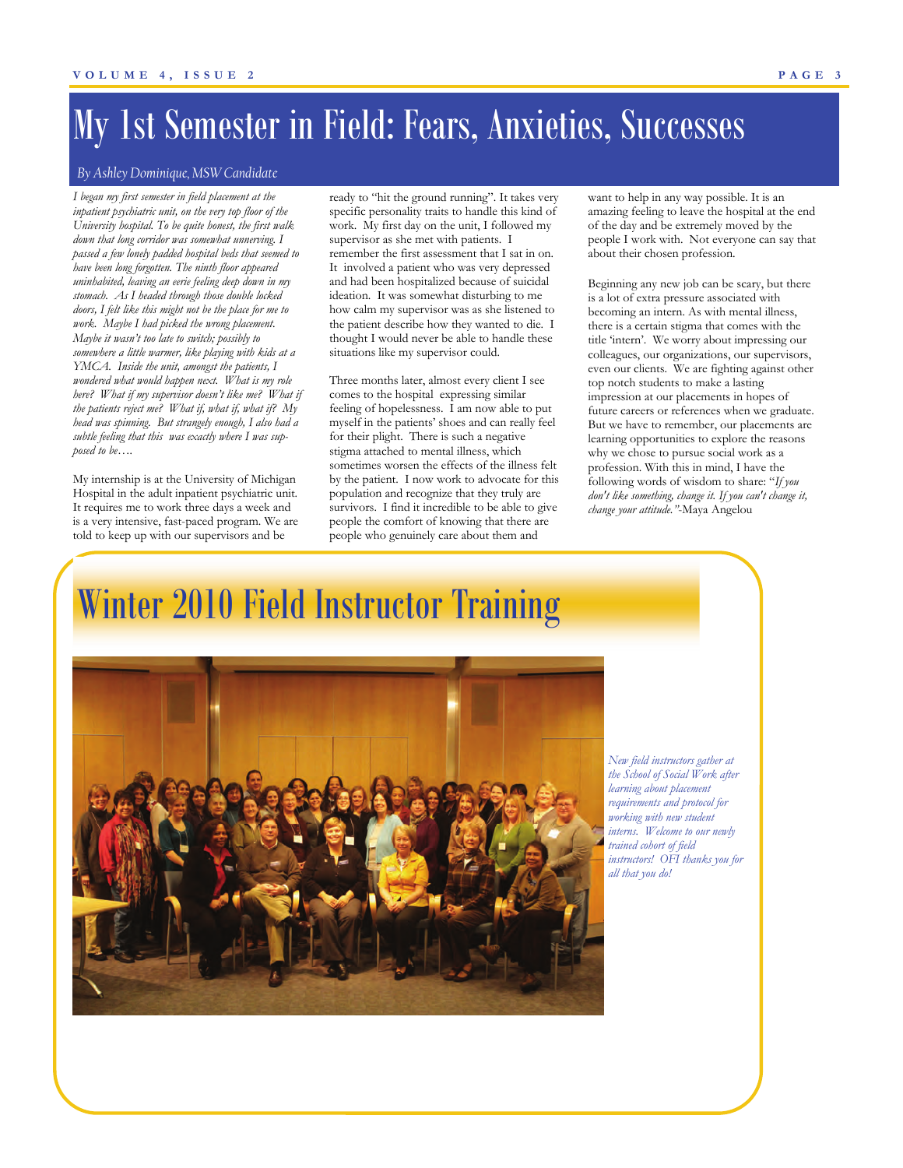## My 1st Semester in Field: Fears, Anxieties, Successes

### *By Ashley Dominique, MSW Candidate*

*I began my first semester in field placement at the inpatient psychiatric unit, on the very top floor of the University hospital. To be quite honest, the first walk down that long corridor was somewhat unnerving. I passed a few lonely padded hospital beds that seemed to have been long forgotten. The ninth floor appeared uninhabited, leaving an eerie feeling deep down in my stomach. As I headed through those double locked doors, I felt like this might not be the place for me to work. Maybe I had picked the wrong placement. Maybe it wasn't too late to switch; possibly to somewhere a little warmer, like playing with kids at a YMCA. Inside the unit, amongst the patients, I wondered what would happen next. What is my role here? What if my supervisor doesn't like me? What if the patients reject me? What if, what if, what if? My head was spinning. But strangely enough, I also had a subtle feeling that this was exactly where I was supposed to be….* 

My internship is at the University of Michigan Hospital in the adult inpatient psychiatric unit. It requires me to work three days a week and is a very intensive, fast-paced program. We are told to keep up with our supervisors and be

ready to "hit the ground running". It takes very specific personality traits to handle this kind of work. My first day on the unit, I followed my supervisor as she met with patients. I remember the first assessment that I sat in on. It involved a patient who was very depressed and had been hospitalized because of suicidal ideation. It was somewhat disturbing to me how calm my supervisor was as she listened to the patient describe how they wanted to die. I thought I would never be able to handle these situations like my supervisor could.

Three months later, almost every client I see comes to the hospital expressing similar feeling of hopelessness. I am now able to put myself in the patients' shoes and can really feel for their plight. There is such a negative stigma attached to mental illness, which sometimes worsen the effects of the illness felt by the patient. I now work to advocate for this population and recognize that they truly are survivors. I find it incredible to be able to give people the comfort of knowing that there are people who genuinely care about them and

want to help in any way possible. It is an amazing feeling to leave the hospital at the end of the day and be extremely moved by the people I work with. Not everyone can say that about their chosen profession.

Beginning any new job can be scary, but there is a lot of extra pressure associated with becoming an intern. As with mental illness, there is a certain stigma that comes with the title 'intern'. We worry about impressing our colleagues, our organizations, our supervisors, even our clients. We are fighting against other top notch students to make a lasting impression at our placements in hopes of future careers or references when we graduate. But we have to remember, our placements are learning opportunities to explore the reasons why we chose to pursue social work as a profession. With this in mind, I have the following words of wisdom to share: "*If you don't like something, change it. If you can't change it, change your attitude."*-Maya Angelou

## Winter 2010 Field Instructor Training



*New field instructors gather at the School of Social Work after learning about placement requirements and protocol for working with new student interns. Welcome to our newly trained cohort of field instructors! OFI thanks you for all that you do!*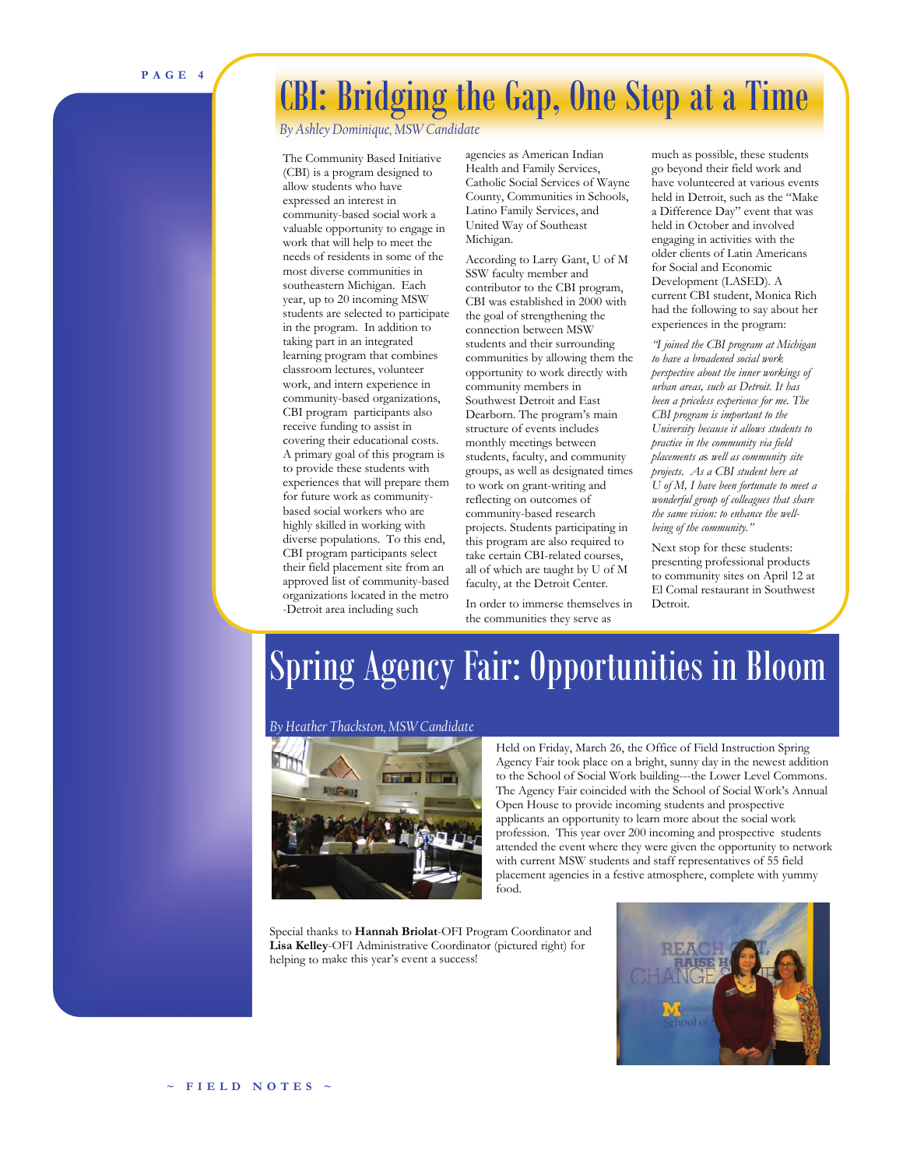# CBI: Bridging the Gap, One Step at a Time

*By Ashley Dominique, MSW Candidate* 

The Community Based Initiative (CBI) is a program designed to allow students who have expressed an interest in community-based social work a valuable opportunity to engage in work that will help to meet the needs of residents in some of the most diverse communities in southeastern Michigan. Each year, up to 20 incoming MSW students are selected to participate in the program. In addition to taking part in an integrated learning program that combines classroom lectures, volunteer work, and intern experience in community-based organizations, CBI program participants also receive funding to assist in covering their educational costs. A primary goal of this program is to provide these students with experiences that will prepare them for future work as communitybased social workers who are highly skilled in working with diverse populations. To this end, CBI program participants select their field placement site from an approved list of community-based organizations located in the metro -Detroit area including such

agencies as American Indian Health and Family Services, Catholic Social Services of Wayne County, Communities in Schools, Latino Family Services, and United Way of Southeast Michigan.

According to Larry Gant, U of M SSW faculty member and contributor to the CBI program, CBI was established in 2000 with the goal of strengthening the connection between MSW students and their surrounding communities by allowing them the opportunity to work directly with community members in Southwest Detroit and East Dearborn. The program's main structure of events includes monthly meetings between students, faculty, and community groups, as well as designated times to work on grant-writing and reflecting on outcomes of community-based research projects. Students participating in this program are also required to take certain CBI-related courses, all of which are taught by U of M faculty, at the Detroit Center.

In order to immerse themselves in the communities they serve as

much as possible, these students go beyond their field work and have volunteered at various events held in Detroit, such as the "Make a Difference Day" event that was held in October and involved engaging in activities with the older clients of Latin Americans for Social and Economic Development (LASED). A current CBI student, Monica Rich had the following to say about her experiences in the program:

*"I joined the CBI program at Michigan to have a broadened social work perspective about the inner workings of urban areas, such as Detroit. It has been a priceless experience for me. The CBI program is important to the University because it allows students to practice in the community via field placements a*s *well as community site projects. As a CBI student here at U of M, I have been fortunate to meet a wonderful group of colleagues that share the same vision: to enhance the wellbeing of the community."* 

Next stop for these students: presenting professional products to community sites on April 12 at El Comal restaurant in Southwest Detroit.

# Spring Agency Fair: Opportunities in Bloom

### *By Heather Thackston, MSW Candidate*



Held on Friday, March 26, the Office of Field Instruction Spring Agency Fair took place on a bright, sunny day in the newest addition to the School of Social Work building---the Lower Level Commons. The Agency Fair coincided with the School of Social Work's Annual Open House to provide incoming students and prospective applicants an opportunity to learn more about the social work profession. This year over 200 incoming and prospective students attended the event where they were given the opportunity to network with current MSW students and staff representatives of 55 field placement agencies in a festive atmosphere, complete with yummy food.

Special thanks to **Hannah Briolat**-OFI Program Coordinator and **Lisa Kelley**-OFI Administrative Coordinator (pictured right) for helping to make this year's event a success!

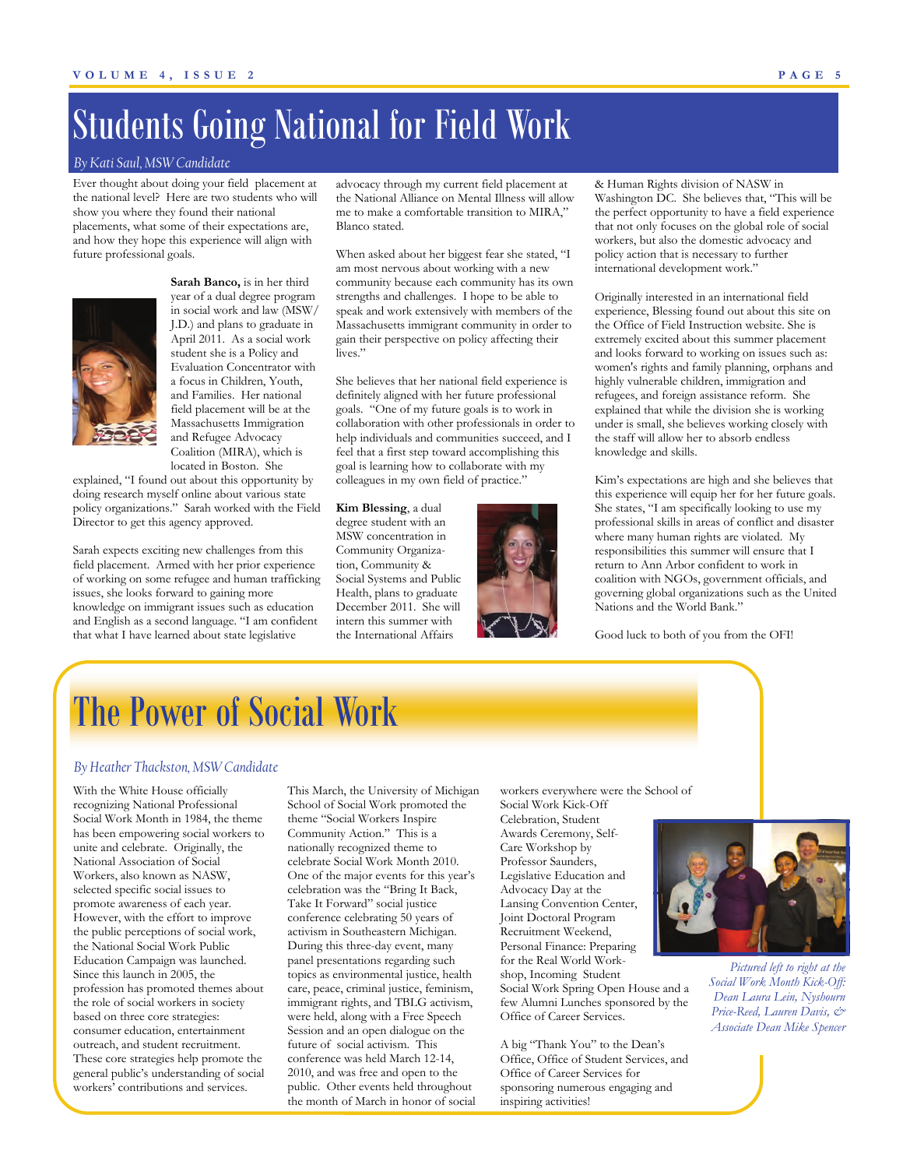## Students Going National for Field Work

### *By Kati Saul, MSW Candidate*

Ever thought about doing your field placement at the national level? Here are two students who will show you where they found their national placements, what some of their expectations are, and how they hope this experience will align with future professional goals.



**Sarah Banco,** is in her third year of a dual degree program in social work and law (MSW/ J.D.) and plans to graduate in April 2011. As a social work student she is a Policy and Evaluation Concentrator with a focus in Children, Youth, and Families. Her national field placement will be at the Massachusetts Immigration and Refugee Advocacy Coalition (MIRA), which is located in Boston. She

explained, "I found out about this opportunity by doing research myself online about various state policy organizations." Sarah worked with the Field Director to get this agency approved.

Sarah expects exciting new challenges from this field placement. Armed with her prior experience of working on some refugee and human trafficking issues, she looks forward to gaining more knowledge on immigrant issues such as education and English as a second language. "I am confident that what I have learned about state legislative

advocacy through my current field placement at the National Alliance on Mental Illness will allow me to make a comfortable transition to MIRA," Blanco stated.

When asked about her biggest fear she stated, "I am most nervous about working with a new community because each community has its own strengths and challenges. I hope to be able to speak and work extensively with members of the Massachusetts immigrant community in order to gain their perspective on policy affecting their lives."

She believes that her national field experience is definitely aligned with her future professional goals. "One of my future goals is to work in collaboration with other professionals in order to help individuals and communities succeed, and I feel that a first step toward accomplishing this goal is learning how to collaborate with my colleagues in my own field of practice."

**Kim Blessing**, a dual degree student with an MSW concentration in Community Organization, Community & Social Systems and Public Health, plans to graduate December 2011. She will intern this summer with the International Affairs



& Human Rights division of NASW in Washington DC. She believes that, "This will be the perfect opportunity to have a field experience that not only focuses on the global role of social workers, but also the domestic advocacy and policy action that is necessary to further international development work."

Originally interested in an international field experience, Blessing found out about this site on the Office of Field Instruction website. She is extremely excited about this summer placement and looks forward to working on issues such as: women's rights and family planning, orphans and highly vulnerable children, immigration and refugees, and foreign assistance reform. She explained that while the division she is working under is small, she believes working closely with the staff will allow her to absorb endless knowledge and skills.

Kim's expectations are high and she believes that this experience will equip her for her future goals. She states, "I am specifically looking to use my professional skills in areas of conflict and disaster where many human rights are violated. My responsibilities this summer will ensure that I return to Ann Arbor confident to work in coalition with NGOs, government officials, and governing global organizations such as the United Nations and the World Bank."

Good luck to both of you from the OFI!

# The Power of Social Work

#### *By Heather Thackston, MSW Candidate*

With the White House officially recognizing National Professional Social Work Month in 1984, the theme has been empowering social workers to unite and celebrate. Originally, the National Association of Social Workers, also known as NASW, selected specific social issues to promote awareness of each year. However, with the effort to improve the public perceptions of social work, the National Social Work Public Education Campaign was launched. Since this launch in 2005, the profession has promoted themes about the role of social workers in society based on three core strategies: consumer education, entertainment outreach, and student recruitment. These core strategies help promote the general public's understanding of social workers' contributions and services.

This March, the University of Michigan School of Social Work promoted the theme "Social Workers Inspire Community Action." This is a nationally recognized theme to celebrate Social Work Month 2010. One of the major events for this year's celebration was the "Bring It Back, Take It Forward" social justice conference celebrating 50 years of activism in Southeastern Michigan. During this three-day event, many panel presentations regarding such topics as environmental justice, health care, peace, criminal justice, feminism, immigrant rights, and TBLG activism, were held, along with a Free Speech Session and an open dialogue on the future of social activism. This conference was held March 12-14, 2010, and was free and open to the public. Other events held throughout the month of March in honor of social

workers everywhere were the School of Social Work Kick-Off Celebration, Student Awards Ceremony, Self-Care Workshop by Professor Saunders, Legislative Education and Advocacy Day at the Lansing Convention Center, Joint Doctoral Program Recruitment Weekend, Personal Finance: Preparing for the Real World Workshop, Incoming Student Social Work Spring Open House and a few Alumni Lunches sponsored by the Office of Career Services.

A big "Thank You" to the Dean's Office, Office of Student Services, and Office of Career Services for sponsoring numerous engaging and inspiring activities!



*Pictured left to right at the Social Work Month Kick-Off: Dean Laura Lein, Nyshourn Price-Reed, Lauren Davis, & Associate Dean Mike Spencer*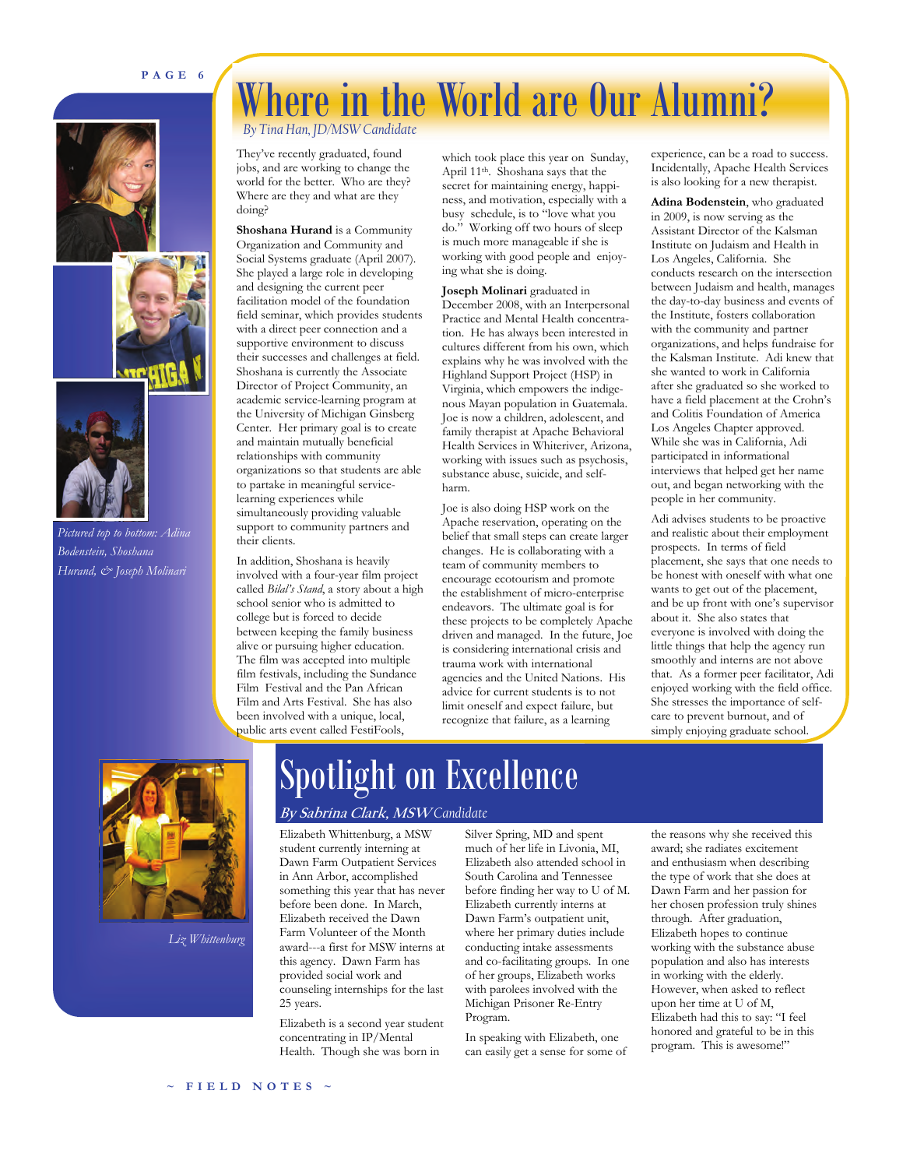



*Pictured top to bottom: Adina Bodenstein, Shoshana Hurand, & Joseph Molinari* 

# Where in the World are Our Alumni?

*By Tina Han, JD/MSW Candidate* 

They've recently graduated, found jobs, and are working to change the world for the better. Who are they? Where are they and what are they doing?

**Shoshana Hurand** is a Community Organization and Community and Social Systems graduate (April 2007). She played a large role in developing and designing the current peer facilitation model of the foundation field seminar, which provides students with a direct peer connection and a supportive environment to discuss their successes and challenges at field. Shoshana is currently the Associate Director of Project Community, an academic service-learning program at the University of Michigan Ginsberg Center. Her primary goal is to create and maintain mutually beneficial relationships with community organizations so that students are able to partake in meaningful servicelearning experiences while simultaneously providing valuable support to community partners and their clients.

In addition, Shoshana is heavily involved with a four-year film project called *Bilal's Stand*, a story about a high school senior who is admitted to college but is forced to decide between keeping the family business alive or pursuing higher education. The film was accepted into multiple film festivals, including the Sundance Film Festival and the Pan African Film and Arts Festival. She has also been involved with a unique, local, public arts event called FestiFools,

which took place this year on Sunday, April 11th. Shoshana says that the secret for maintaining energy, happiness, and motivation, especially with a busy schedule, is to "love what you do." Working off two hours of sleep is much more manageable if she is working with good people and enjoying what she is doing.

#### **Joseph Molinari** graduated in

December 2008, with an Interpersonal Practice and Mental Health concentration. He has always been interested in cultures different from his own, which explains why he was involved with the Highland Support Project (HSP) in Virginia, which empowers the indigenous Mayan population in Guatemala. Joe is now a children, adolescent, and family therapist at Apache Behavioral Health Services in Whiteriver, Arizona, working with issues such as psychosis, substance abuse, suicide, and selfharm.

Joe is also doing HSP work on the Apache reservation, operating on the belief that small steps can create larger changes. He is collaborating with a team of community members to encourage ecotourism and promote the establishment of micro-enterprise endeavors. The ultimate goal is for these projects to be completely Apache driven and managed. In the future, Joe is considering international crisis and trauma work with international agencies and the United Nations. His advice for current students is to not limit oneself and expect failure, but recognize that failure, as a learning

experience, can be a road to success. Incidentally, Apache Health Services is also looking for a new therapist.

**Adina Bodenstein**, who graduated in 2009, is now serving as the Assistant Director of the Kalsman Institute on Judaism and Health in Los Angeles, California. She conducts research on the intersection between Judaism and health, manages the day-to-day business and events of the Institute, fosters collaboration with the community and partner organizations, and helps fundraise for the Kalsman Institute. Adi knew that she wanted to work in California after she graduated so she worked to have a field placement at the Crohn's and Colitis Foundation of America Los Angeles Chapter approved. While she was in California, Adi participated in informational interviews that helped get her name out, and began networking with the people in her community.

Adi advises students to be proactive and realistic about their employment prospects. In terms of field placement, she says that one needs to be honest with oneself with what one wants to get out of the placement, and be up front with one's supervisor about it. She also states that everyone is involved with doing the little things that help the agency run smoothly and interns are not above that. As a former peer facilitator, Adi enjoyed working with the field office. She stresses the importance of selfcare to prevent burnout, and of simply enjoying graduate school.



*Liz Whittenburg* 

# Spotlight on Excellence

### **By Sabrina Clark, MSW** *Candidate*

Elizabeth Whittenburg, a MSW student currently interning at Dawn Farm Outpatient Services in Ann Arbor, accomplished something this year that has never before been done. In March, Elizabeth received the Dawn Farm Volunteer of the Month award---a first for MSW interns at this agency. Dawn Farm has provided social work and counseling internships for the last 25 years.

Elizabeth is a second year student concentrating in IP/Mental Health. Though she was born in

Silver Spring, MD and spent much of her life in Livonia, MI, Elizabeth also attended school in South Carolina and Tennessee before finding her way to U of M. Elizabeth currently interns at Dawn Farm's outpatient unit, where her primary duties include conducting intake assessments and co-facilitating groups. In one of her groups, Elizabeth works with parolees involved with the Michigan Prisoner Re-Entry Program.

In speaking with Elizabeth, one can easily get a sense for some of

the reasons why she received this award; she radiates excitement and enthusiasm when describing the type of work that she does at Dawn Farm and her passion for her chosen profession truly shines through. After graduation, Elizabeth hopes to continue working with the substance abuse population and also has interests in working with the elderly. However, when asked to reflect upon her time at U of M, Elizabeth had this to say: "I feel honored and grateful to be in this program. This is awesome!"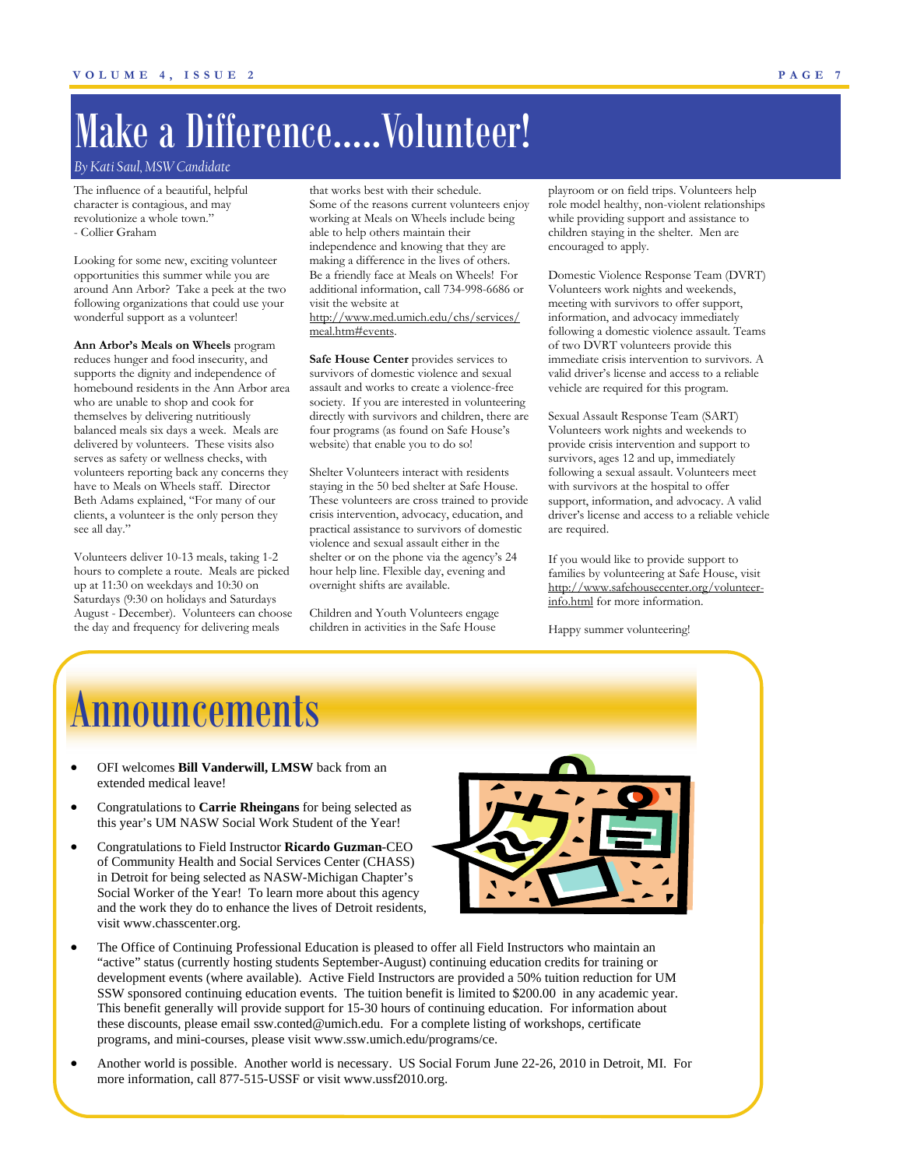# Make a Difference…..Volunteer!

### *By Kati Saul, MSW Candidate*

The influence of a beautiful, helpful character is contagious, and may revolutionize a whole town." - Collier Graham

Looking for some new, exciting volunteer opportunities this summer while you are around Ann Arbor? Take a peek at the two following organizations that could use your wonderful support as a volunteer!

**Ann Arbor's Meals on Wheels** program reduces hunger and food insecurity, and supports the dignity and independence of homebound residents in the Ann Arbor area who are unable to shop and cook for themselves by delivering nutritiously balanced meals six days a week. Meals are delivered by volunteers. These visits also serves as safety or wellness checks, with volunteers reporting back any concerns they have to Meals on Wheels staff. Director Beth Adams explained, "For many of our clients, a volunteer is the only person they see all day."

Volunteers deliver 10-13 meals, taking 1-2 hours to complete a route. Meals are picked up at 11:30 on weekdays and 10:30 on Saturdays (9:30 on holidays and Saturdays August - December). Volunteers can choose the day and frequency for delivering meals

that works best with their schedule. Some of the reasons current volunteers enjoy working at Meals on Wheels include being able to help others maintain their independence and knowing that they are making a difference in the lives of others. Be a friendly face at Meals on Wheels! For additional information, call 734-998-6686 or visit the website at [http://www.med.umich.edu/chs/services/](http://www.med.umich.edu/chs/services/meal.htm#events) [meal.htm#events](http://www.med.umich.edu/chs/services/meal.htm#events).

**Safe House Center** provides services to survivors of domestic violence and sexual assault and works to create a violence-free society. If you are interested in volunteering directly with survivors and children, there are four programs (as found on Safe House's website) that enable you to do so!

Shelter Volunteers interact with residents staying in the 50 bed shelter at Safe House. These volunteers are cross trained to provide crisis intervention, advocacy, education, and practical assistance to survivors of domestic violence and sexual assault either in the shelter or on the phone via the agency's 24 hour help line. Flexible day, evening and overnight shifts are available.

Children and Youth Volunteers engage children in activities in the Safe House

playroom or on field trips. Volunteers help role model healthy, non-violent relationships while providing support and assistance to children staying in the shelter. Men are encouraged to apply.

Domestic Violence Response Team (DVRT) Volunteers work nights and weekends, meeting with survivors to offer support, information, and advocacy immediately following a domestic violence assault. Teams of two DVRT volunteers provide this immediate crisis intervention to survivors. A valid driver's license and access to a reliable vehicle are required for this program.

Sexual Assault Response Team (SART) Volunteers work nights and weekends to provide crisis intervention and support to survivors, ages 12 and up, immediately following a sexual assault. Volunteers meet with survivors at the hospital to offer support, information, and advocacy. A valid driver's license and access to a reliable vehicle are required.

If you would like to provide support to families by volunteering at Safe House, visit [http://www.safehousecenter.org/volunteer](http://www.safehousecenter.org/volunteer-info.html)[info.html](http://www.safehousecenter.org/volunteer-info.html) for more information.

Happy summer volunteering!

# **Announcements**

- OFI welcomes **Bill Vanderwill, LMSW** back from an extended medical leave!
- Congratulations to **Carrie Rheingans** for being selected as this year's UM NASW Social Work Student of the Year!
- Congratulations to Field Instructor **Ricardo Guzman**-CEO of Community Health and Social Services Center (CHASS) in Detroit for being selected as NASW-Michigan Chapter's Social Worker of the Year! To learn more about this agency and the work they do to enhance the lives of Detroit residents, visit www.chasscenter.org.



- The Office of Continuing Professional Education is pleased to offer all Field Instructors who maintain an "active" status (currently hosting students September-August) continuing education credits for training or development events (where available). Active Field Instructors are provided a 50% tuition reduction for UM SSW sponsored continuing education events. The tuition benefit is limited to \$200.00 in any academic year. This benefit generally will provide support for 15-30 hours of continuing education. For information about these discounts, please email ssw.conted@umich.edu. For a complete listing of workshops, certificate programs, and mini-courses, please visit www.ssw.umich.edu/programs/ce.
- Another world is possible. Another world is necessary. US Social Forum June 22-26, 2010 in Detroit, MI. For more information, call 877-515-USSF or visit www.ussf2010.org.